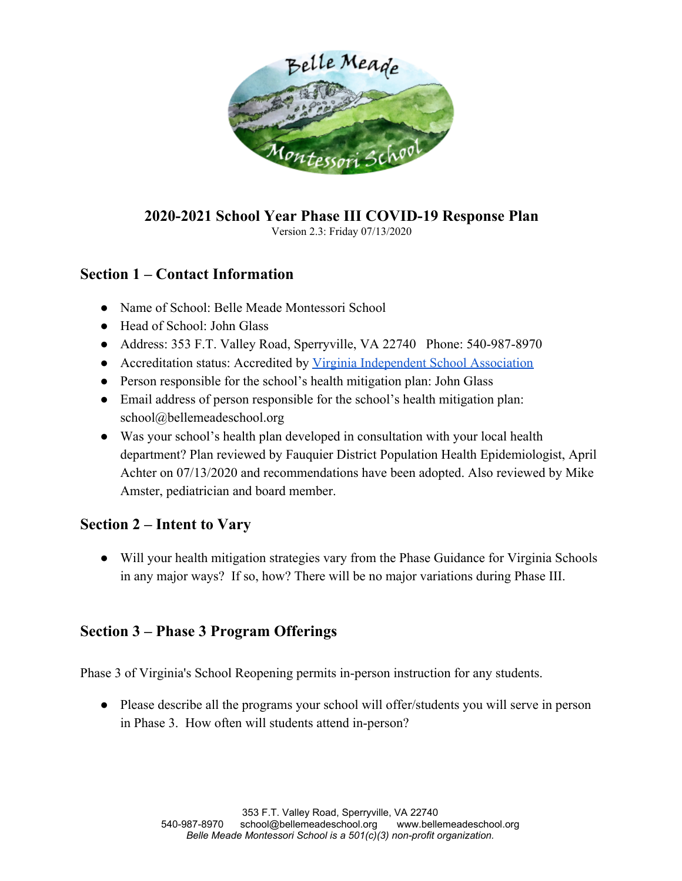

# **2020-2021 School Year Phase III COVID-19 Response Plan**

Version 2.3: Friday 07/13/2020

# **Section 1 – Contact Information**

- Name of School: Belle Meade Montessori School
- Head of School: John Glass
- Address: 353 F.T. Valley Road, Sperryville, VA 22740 Phone: 540-987-8970
- Accreditation status: Accredited by [Virginia Independent School Association](https://www.virginiaindependentschoolsassociation.org/uploads/7/7/8/8/7788484/2016_visa_standards_for_school_evaluation_manual.pdf)
- Person responsible for the school's health mitigation plan: John Glass
- Email address of person responsible for the school's health mitigation plan: [school@bellemeadeschool.org](mailto:school@bellemeadeschool.org)
- Was your school's health plan developed in consultation with your local health department? Plan reviewed by Fauquier District Population Health Epidemiologist, April Achter on 07/13/2020 and recommendations have been adopted. Also reviewed by Mike Amster, pediatrician and board member.

# **Section 2 – Intent to Vary**

● Will your health mitigation strategies vary from the Phase Guidance for Virginia Schools in any major ways? If so, how? There will be no major variations during Phase III.

## **Section 3 – Phase 3 Program Offerings**

Phase 3 of Virginia's School Reopening permits in-person instruction for any students.

• Please describe all the programs your school will offer/students you will serve in person in Phase 3. How often will students attend in-person?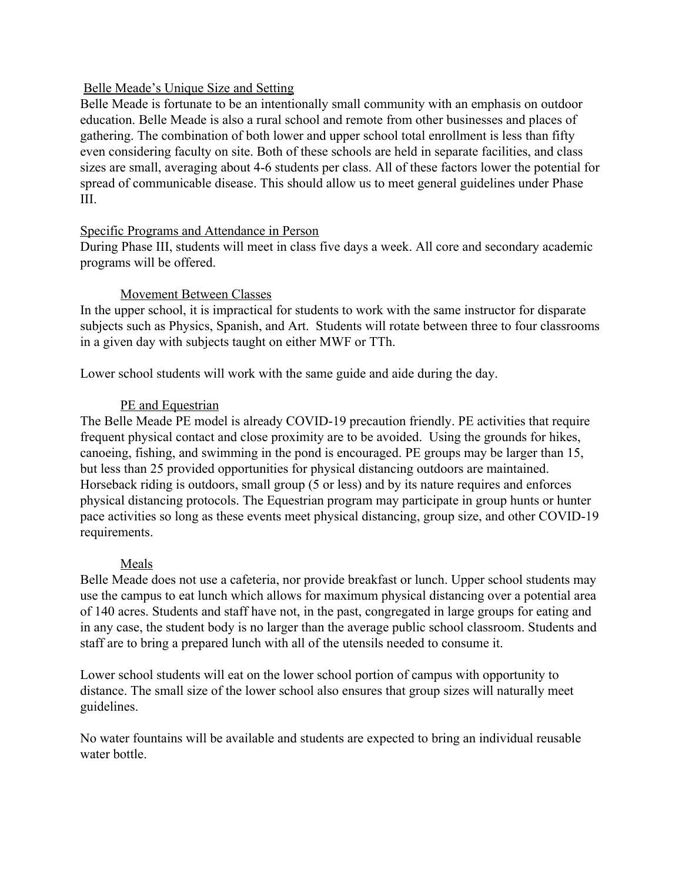### Belle Meade's Unique Size and Setting

Belle Meade is fortunate to be an intentionally small community with an emphasis on outdoor education. Belle Meade is also a rural school and remote from other businesses and places of gathering. The combination of both lower and upper school total enrollment is less than fifty even considering faculty on site. Both of these schools are held in separate facilities, and class sizes are small, averaging about 4-6 students per class. All of these factors lower the potential for spread of communicable disease. This should allow us to meet general guidelines under Phase III.

### Specific Programs and Attendance in Person

During Phase III, students will meet in class five days a week. All core and secondary academic programs will be offered.

### Movement Between Classes

In the upper school, it is impractical for students to work with the same instructor for disparate subjects such as Physics, Spanish, and Art. Students will rotate between three to four classrooms in a given day with subjects taught on either MWF or TTh.

Lower school students will work with the same guide and aide during the day.

### PE and Equestrian

The Belle Meade PE model is already COVID-19 precaution friendly. PE activities that require frequent physical contact and close proximity are to be avoided. Using the grounds for hikes, canoeing, fishing, and swimming in the pond is encouraged. PE groups may be larger than 15, but less than 25 provided opportunities for physical distancing outdoors are maintained. Horseback riding is outdoors, small group (5 or less) and by its nature requires and enforces physical distancing protocols. The Equestrian program may participate in group hunts or hunter pace activities so long as these events meet physical distancing, group size, and other COVID-19 requirements.

### Meals

Belle Meade does not use a cafeteria, nor provide breakfast or lunch. Upper school students may use the campus to eat lunch which allows for maximum physical distancing over a potential area of 140 acres. Students and staff have not, in the past, congregated in large groups for eating and in any case, the student body is no larger than the average public school classroom. Students and staff are to bring a prepared lunch with all of the utensils needed to consume it.

Lower school students will eat on the lower school portion of campus with opportunity to distance. The small size of the lower school also ensures that group sizes will naturally meet guidelines.

No water fountains will be available and students are expected to bring an individual reusable water bottle.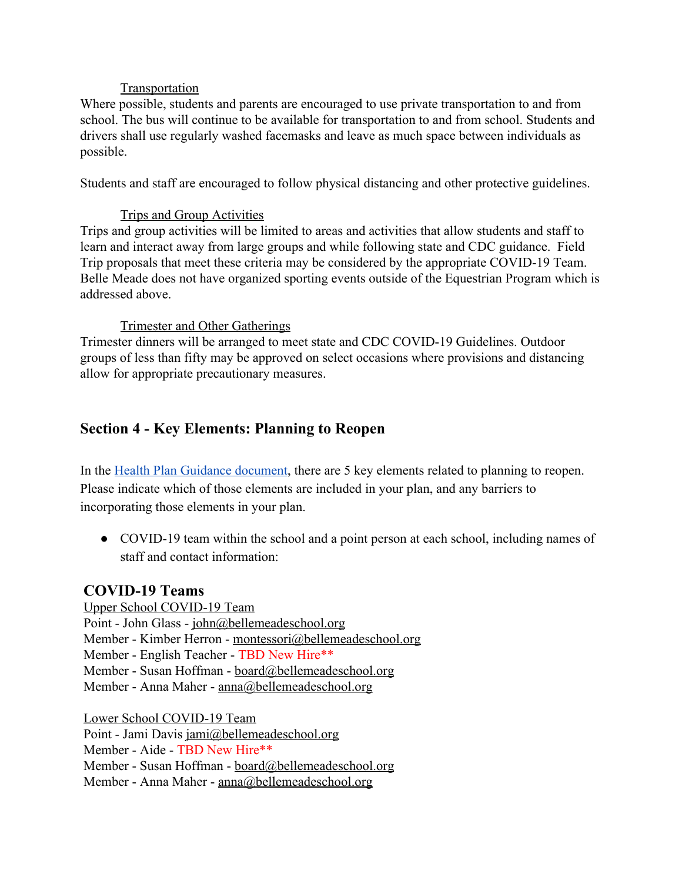### Transportation

Where possible, students and parents are encouraged to use private transportation to and from school. The bus will continue to be available for transportation to and from school. Students and drivers shall use regularly washed facemasks and leave as much space between individuals as possible.

Students and staff are encouraged to follow physical distancing and other protective guidelines.

### Trips and Group Activities

Trips and group activities will be limited to areas and activities that allow students and staff to learn and interact away from large groups and while following state and CDC guidance. Field Trip proposals that meet these criteria may be considered by the appropriate COVID-19 Team. Belle Meade does not have organized sporting events outside of the Equestrian Program which is addressed above.

### Trimester and Other Gatherings

Trimester dinners will be arranged to meet state and CDC COVID-19 Guidelines. Outdoor groups of less than fifty may be approved on select occasions where provisions and distancing allow for appropriate precautionary measures.

## **Section 4 - Key Elements: Planning to Reopen**

In the [Health Plan Guidance document](https://ln2.sync.com/dl/0fc5b2dc0/q9gxizza-kwu9sfud-9iz6up97-iq6cmsq9), there are 5 key elements related to planning to reopen. Please indicate which of those elements are included in your plan, and any barriers to incorporating those elements in your plan.

• COVID-19 team within the school and a point person at each school, including names of staff and contact information:

### **COVID-19 Teams**

Upper School COVID-19 Team Point - John Glass - [john@bellemeadeschool.org](mailto:john@bellemeadeschool.org) Member - Kimber Herron - [montessori@bellemeadeschool.org](mailto:montessori@bellemeadeschool.org) Member - English Teacher - TBD New Hire\*\* Member - Susan Hoffman - [board@bellemeadeschool.org](mailto:board@bellemeadeschool.org) Member - Anna Maher - [anna@bellemeadeschool.org](mailto:anna@bellemeadeschool.org)

Lower School COVID-19 Team

Point - Jami Davis [jami@bellemeadeschool.org](mailto:jami@bellemeadeschool.org)

Member - Aide - TBD New Hire\*\*

Member - Susan Hoffman - [board@bellemeadeschool.org](mailto:board@bellemeadeschool.org)

Member - Anna Maher - [anna@bellemeadeschool.org](mailto:anna@bellemeadeschool.org)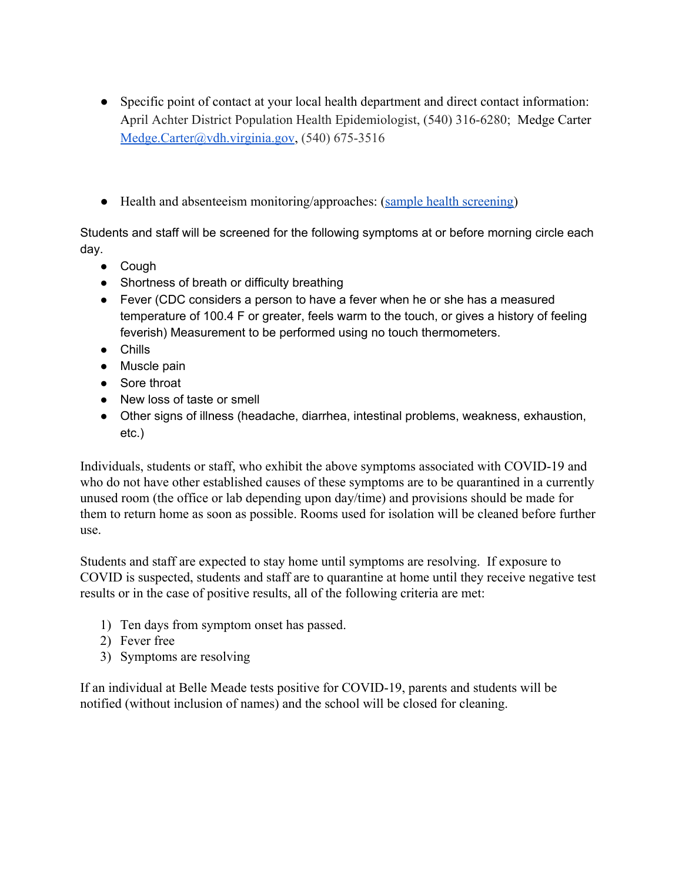- Specific point of contact at your local health department and direct contact information: April Achter District Population Health Epidemiologist, (540) 316-6280; Medge Carter [Medge.Carter@vdh.virginia.gov,](mailto:Medge.Carter@vdh.virginia.gov) (540) 675-3516
- Health and absenteeism monitoring/approaches: ([sample health screening](https://ln2.sync.com/dl/7f80420c0/yihvzivh-u8a3ba59-gaef9zh5-ggy4zkkd))

Students and staff will be screened for the following symptoms at or before morning circle each day.

- Cough
- Shortness of breath or difficulty breathing
- Fever (CDC considers a person to have a fever when he or she has a measured temperature of 100.4 F or greater, feels warm to the touch, or gives a history of feeling feverish) Measurement to be performed using no touch thermometers.
- Chills
- Muscle pain
- Sore throat
- New loss of taste or smell
- Other signs of illness (headache, diarrhea, intestinal problems, weakness, exhaustion, etc.)

Individuals, students or staff, who exhibit the above symptoms associated with COVID-19 and who do not have other established causes of these symptoms are to be quarantined in a currently unused room (the office or lab depending upon day/time) and provisions should be made for them to return home as soon as possible. Rooms used for isolation will be cleaned before further use.

Students and staff are expected to stay home until symptoms are resolving. If exposure to COVID is suspected, students and staff are to quarantine at home until they receive negative test results or in the case of positive results, all of the following criteria are met:

- 1) Ten days from symptom onset has passed.
- 2) Fever free
- 3) Symptoms are resolving

If an individual at Belle Meade tests positive for COVID-19, parents and students will be notified (without inclusion of names) and the school will be closed for cleaning.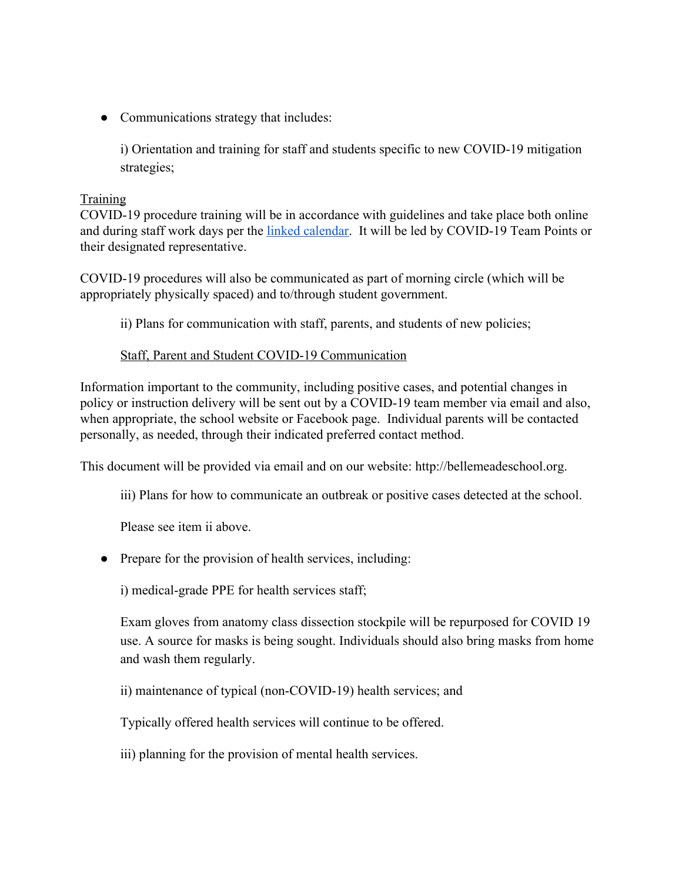• Communications strategy that includes:

i) Orientation and training for staff and students specific to new COVID-19 mitigation strategies;

### **Training**

COVID-19 procedure training will be in accordance with guidelines and take place both online and during staff work days per the [linked calendar.](https://calendar.google.com/calendar?cid=aW1tZmU1bzZvdTAza2hjZmVlOGY5YjUxcTBAZ3JvdXAuY2FsZW5kYXIuZ29vZ2xlLmNvbQ) It will be led by COVID-19 Team Points or their designated representative.

COVID-19 procedures will also be communicated as part of morning circle (which will be appropriately physically spaced) and to/through student government.

ii) Plans for communication with staff, parents, and students of new policies;

### Staff, Parent and Student COVID-19 Communication

Information important to the community, including positive cases, and potential changes in policy or instruction delivery will be sent out by a COVID-19 team member via email and also, when appropriate, the school website or Facebook page. Individual parents will be contacted personally, as needed, through their indicated preferred contact method.

This document will be provided via email and on our website: http://bellemeadeschool.org.

iii) Plans for how to communicate an outbreak or positive cases detected at the school.

Please see item ii above.

• Prepare for the provision of health services, including:

i) medical-grade PPE for health services staff;

Exam gloves from anatomy class dissection stockpile will be repurposed for COVID 19 use. A source for masks is being sought. Individuals should also bring masks from home and wash them regularly.

ii) maintenance of typical (non-COVID-19) health services; and

Typically offered health services will continue to be offered.

iii) planning for the provision of mental health services.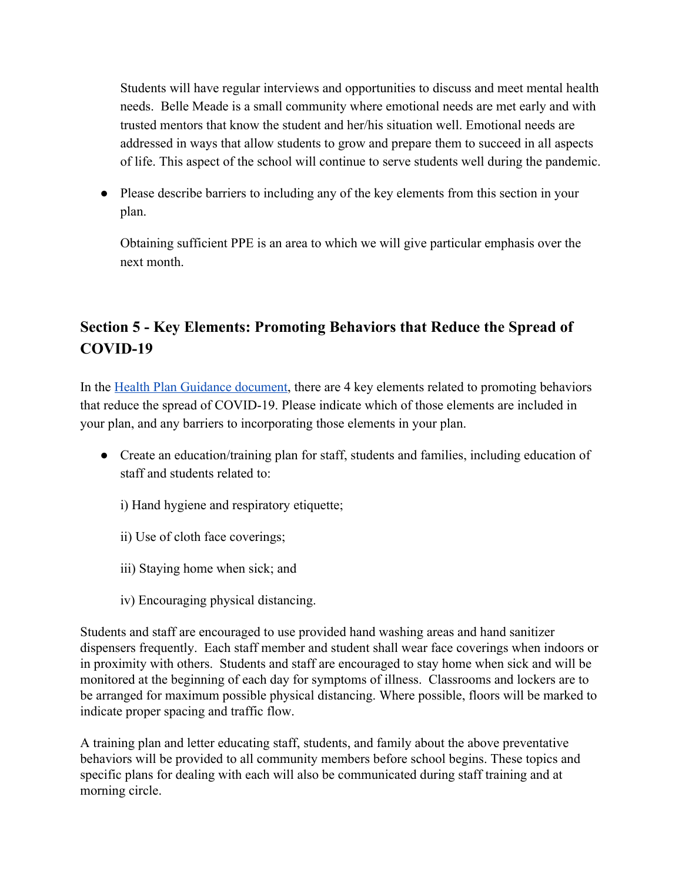Students will have regular interviews and opportunities to discuss and meet mental health needs. Belle Meade is a small community where emotional needs are met early and with trusted mentors that know the student and her/his situation well. Emotional needs are addressed in ways that allow students to grow and prepare them to succeed in all aspects of life. This aspect of the school will continue to serve students well during the pandemic.

• Please describe barriers to including any of the key elements from this section in your plan.

Obtaining sufficient PPE is an area to which we will give particular emphasis over the next month.

# **Section 5 - Key Elements: Promoting Behaviors that Reduce the Spread of COVID-19**

In the [Health Plan Guidance document](https://ln2.sync.com/dl/0fc5b2dc0/q9gxizza-kwu9sfud-9iz6up97-iq6cmsq9), there are 4 key elements related to promoting behaviors that reduce the spread of COVID-19. Please indicate which of those elements are included in your plan, and any barriers to incorporating those elements in your plan.

- Create an education/training plan for staff, students and families, including education of staff and students related to:
	- i) Hand hygiene and respiratory etiquette;
	- ii) Use of cloth face coverings;
	- iii) Staying home when sick; and
	- iv) Encouraging physical distancing.

Students and staff are encouraged to use provided hand washing areas and hand sanitizer dispensers frequently. Each staff member and student shall wear face coverings when indoors or in proximity with others. Students and staff are encouraged to stay home when sick and will be monitored at the beginning of each day for symptoms of illness. Classrooms and lockers are to be arranged for maximum possible physical distancing. Where possible, floors will be marked to indicate proper spacing and traffic flow.

A training plan and letter educating staff, students, and family about the above preventative behaviors will be provided to all community members before school begins. These topics and specific plans for dealing with each will also be communicated during staff training and at morning circle.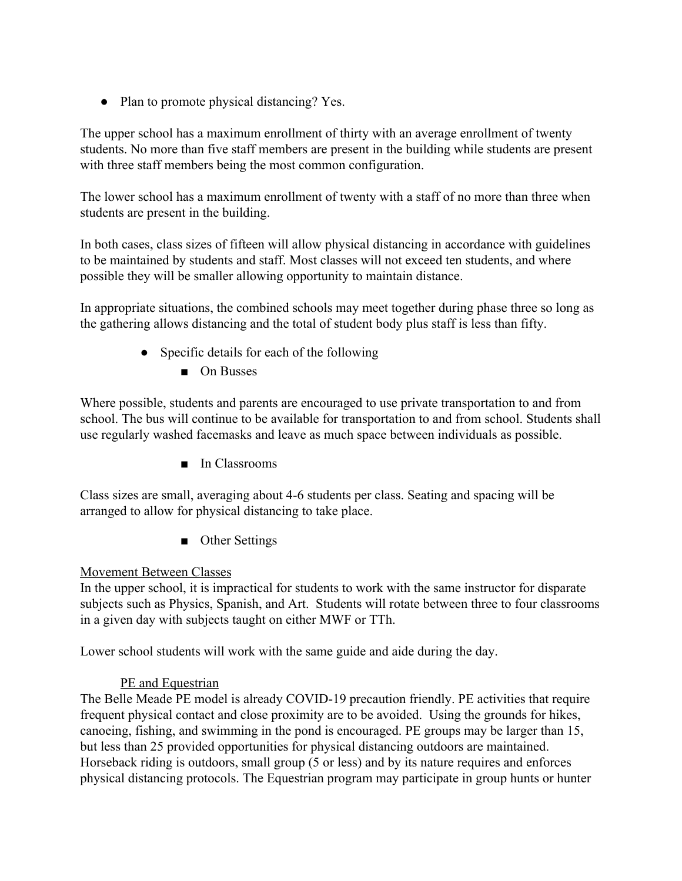• Plan to promote physical distancing? Yes.

The upper school has a maximum enrollment of thirty with an average enrollment of twenty students. No more than five staff members are present in the building while students are present with three staff members being the most common configuration.

The lower school has a maximum enrollment of twenty with a staff of no more than three when students are present in the building.

In both cases, class sizes of fifteen will allow physical distancing in accordance with guidelines to be maintained by students and staff. Most classes will not exceed ten students, and where possible they will be smaller allowing opportunity to maintain distance.

In appropriate situations, the combined schools may meet together during phase three so long as the gathering allows distancing and the total of student body plus staff is less than fifty.

- Specific details for each of the following
	- On Busses

Where possible, students and parents are encouraged to use private transportation to and from school. The bus will continue to be available for transportation to and from school. Students shall use regularly washed facemasks and leave as much space between individuals as possible.

■ In Classrooms

Class sizes are small, averaging about 4-6 students per class. Seating and spacing will be arranged to allow for physical distancing to take place.

■ Other Settings

### Movement Between Classes

In the upper school, it is impractical for students to work with the same instructor for disparate subjects such as Physics, Spanish, and Art. Students will rotate between three to four classrooms in a given day with subjects taught on either MWF or TTh.

Lower school students will work with the same guide and aide during the day.

### PE and Equestrian

The Belle Meade PE model is already COVID-19 precaution friendly. PE activities that require frequent physical contact and close proximity are to be avoided. Using the grounds for hikes, canoeing, fishing, and swimming in the pond is encouraged. PE groups may be larger than 15, but less than 25 provided opportunities for physical distancing outdoors are maintained. Horseback riding is outdoors, small group (5 or less) and by its nature requires and enforces physical distancing protocols. The Equestrian program may participate in group hunts or hunter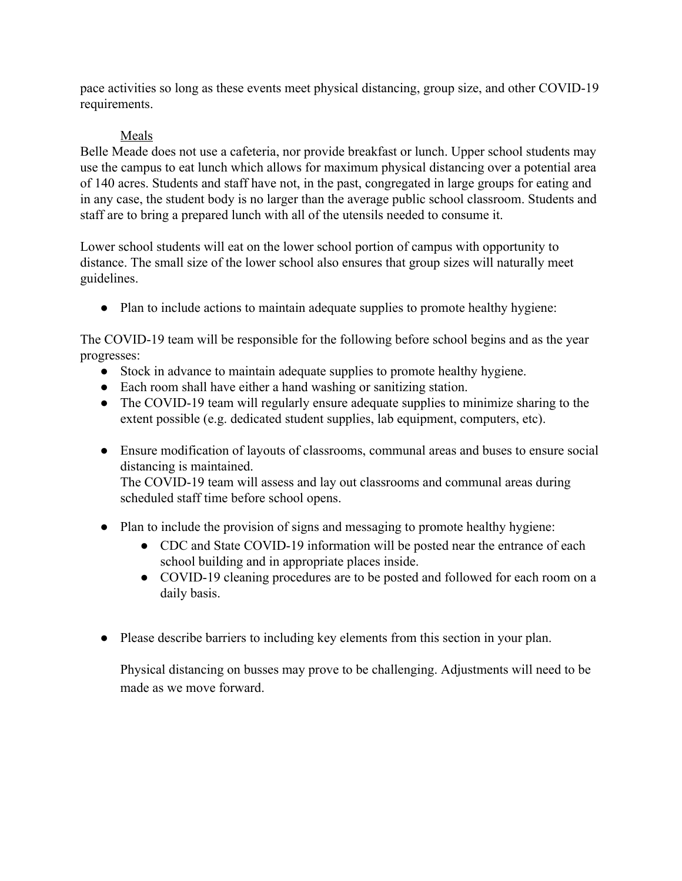pace activities so long as these events meet physical distancing, group size, and other COVID-19 requirements.

### Meals

Belle Meade does not use a cafeteria, nor provide breakfast or lunch. Upper school students may use the campus to eat lunch which allows for maximum physical distancing over a potential area of 140 acres. Students and staff have not, in the past, congregated in large groups for eating and in any case, the student body is no larger than the average public school classroom. Students and staff are to bring a prepared lunch with all of the utensils needed to consume it.

Lower school students will eat on the lower school portion of campus with opportunity to distance. The small size of the lower school also ensures that group sizes will naturally meet guidelines.

• Plan to include actions to maintain adequate supplies to promote healthy hygiene:

The COVID-19 team will be responsible for the following before school begins and as the year progresses:

- Stock in advance to maintain adequate supplies to promote healthy hygiene.
- Each room shall have either a hand washing or sanitizing station.
- The COVID-19 team will regularly ensure adequate supplies to minimize sharing to the extent possible (e.g. dedicated student supplies, lab equipment, computers, etc).
- Ensure modification of layouts of classrooms, communal areas and buses to ensure social distancing is maintained.

The COVID-19 team will assess and lay out classrooms and communal areas during scheduled staff time before school opens.

- Plan to include the provision of signs and messaging to promote healthy hygiene:
	- CDC and State COVID-19 information will be posted near the entrance of each school building and in appropriate places inside.
	- COVID-19 cleaning procedures are to be posted and followed for each room on a daily basis.
- Please describe barriers to including key elements from this section in your plan.

Physical distancing on busses may prove to be challenging. Adjustments will need to be made as we move forward.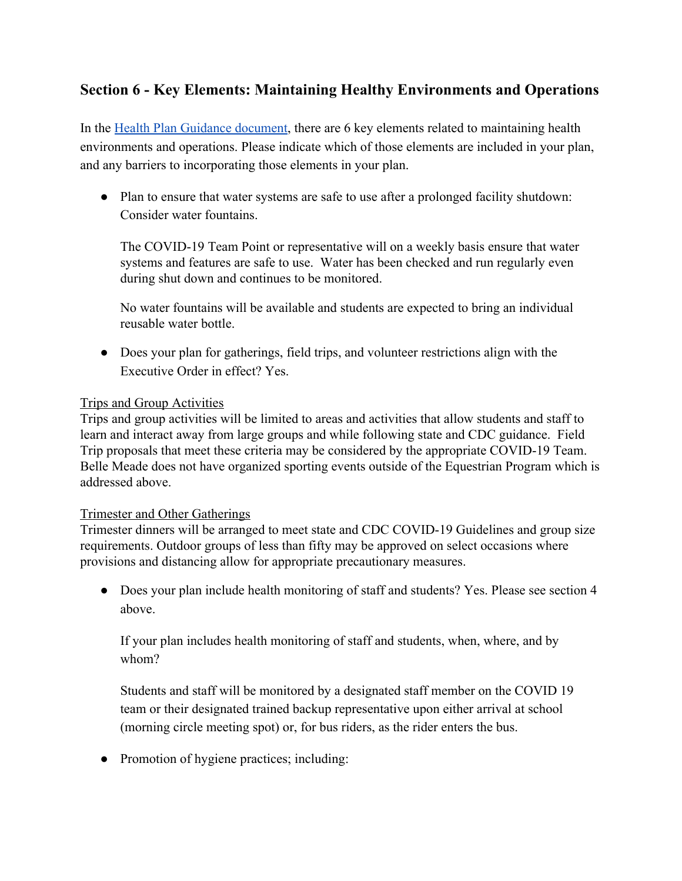## **Section 6 - Key Elements: Maintaining Healthy Environments and Operations**

In the [Health Plan Guidance document](https://ln2.sync.com/dl/0fc5b2dc0/q9gxizza-kwu9sfud-9iz6up97-iq6cmsq9), there are 6 key elements related to maintaining health environments and operations. Please indicate which of those elements are included in your plan, and any barriers to incorporating those elements in your plan.

• Plan to ensure that water systems are safe to use after a prolonged facility shutdown: Consider water fountains.

The COVID-19 Team Point or representative will on a weekly basis ensure that water systems and features are safe to use. Water has been checked and run regularly even during shut down and continues to be monitored.

No water fountains will be available and students are expected to bring an individual reusable water bottle.

• Does your plan for gatherings, field trips, and volunteer restrictions align with the Executive Order in effect? Yes.

### Trips and Group Activities

Trips and group activities will be limited to areas and activities that allow students and staff to learn and interact away from large groups and while following state and CDC guidance. Field Trip proposals that meet these criteria may be considered by the appropriate COVID-19 Team. Belle Meade does not have organized sporting events outside of the Equestrian Program which is addressed above.

### Trimester and Other Gatherings

Trimester dinners will be arranged to meet state and CDC COVID-19 Guidelines and group size requirements. Outdoor groups of less than fifty may be approved on select occasions where provisions and distancing allow for appropriate precautionary measures.

• Does your plan include health monitoring of staff and students? Yes. Please see section 4 above.

If your plan includes health monitoring of staff and students, when, where, and by whom?

Students and staff will be monitored by a designated staff member on the COVID 19 team or their designated trained backup representative upon either arrival at school (morning circle meeting spot) or, for bus riders, as the rider enters the bus.

• Promotion of hygiene practices; including: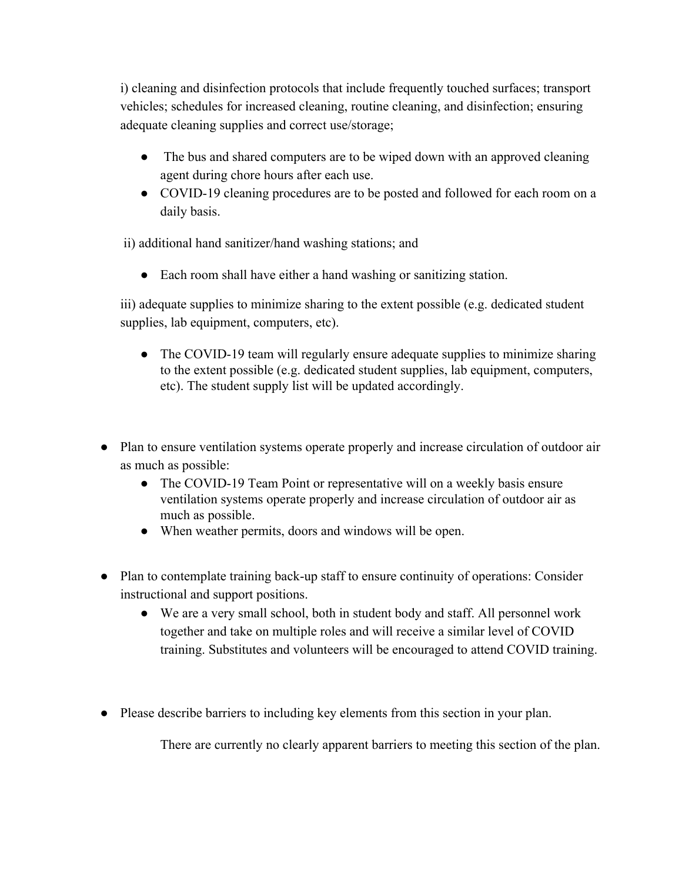i) cleaning and disinfection protocols that include frequently touched surfaces; transport vehicles; schedules for increased cleaning, routine cleaning, and disinfection; ensuring adequate cleaning supplies and correct use/storage;

- The bus and shared computers are to be wiped down with an approved cleaning agent during chore hours after each use.
- COVID-19 cleaning procedures are to be posted and followed for each room on a daily basis.

ii) additional hand sanitizer/hand washing stations; and

● Each room shall have either a hand washing or sanitizing station.

iii) adequate supplies to minimize sharing to the extent possible (e.g. dedicated student supplies, lab equipment, computers, etc).

- The COVID-19 team will regularly ensure adequate supplies to minimize sharing to the extent possible (e.g. dedicated student supplies, lab equipment, computers, etc). The student supply list will be updated accordingly.
- Plan to ensure ventilation systems operate properly and increase circulation of outdoor air as much as possible:
	- The COVID-19 Team Point or representative will on a weekly basis ensure ventilation systems operate properly and increase circulation of outdoor air as much as possible.
	- When weather permits, doors and windows will be open.
- Plan to contemplate training back-up staff to ensure continuity of operations: Consider instructional and support positions.
	- We are a very small school, both in student body and staff. All personnel work together and take on multiple roles and will receive a similar level of COVID training. Substitutes and volunteers will be encouraged to attend COVID training.
- Please describe barriers to including key elements from this section in your plan.

There are currently no clearly apparent barriers to meeting this section of the plan.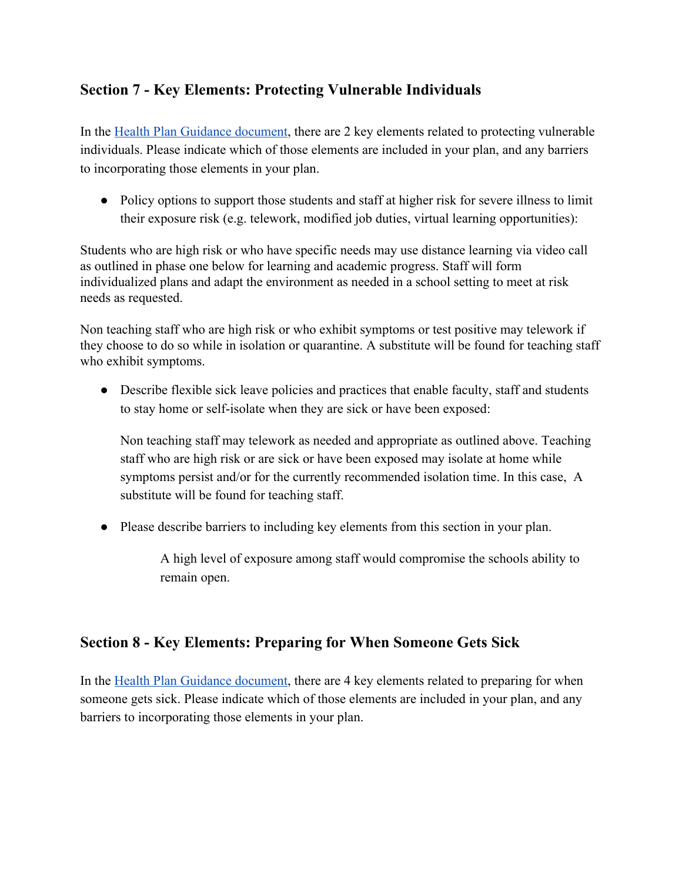## **Section 7 - Key Elements: Protecting Vulnerable Individuals**

In the [Health Plan Guidance document](https://ln2.sync.com/dl/0fc5b2dc0/q9gxizza-kwu9sfud-9iz6up97-iq6cmsq9), there are 2 key elements related to protecting vulnerable individuals. Please indicate which of those elements are included in your plan, and any barriers to incorporating those elements in your plan.

• Policy options to support those students and staff at higher risk for severe illness to limit their exposure risk (e.g. telework, modified job duties, virtual learning opportunities):

Students who are high risk or who have specific needs may use distance learning via video call as outlined in phase one below for learning and academic progress. Staff will form individualized plans and adapt the environment as needed in a school setting to meet at risk needs as requested.

Non teaching staff who are high risk or who exhibit symptoms or test positive may telework if they choose to do so while in isolation or quarantine. A substitute will be found for teaching staff who exhibit symptoms.

• Describe flexible sick leave policies and practices that enable faculty, staff and students to stay home or self-isolate when they are sick or have been exposed:

Non teaching staff may telework as needed and appropriate as outlined above. Teaching staff who are high risk or are sick or have been exposed may isolate at home while symptoms persist and/or for the currently recommended isolation time. In this case, A substitute will be found for teaching staff.

● Please describe barriers to including key elements from this section in your plan.

A high level of exposure among staff would compromise the schools ability to remain open.

## **Section 8 - Key Elements: Preparing for When Someone Gets Sick**

In the [Health Plan Guidance document](https://ln2.sync.com/dl/0fc5b2dc0/q9gxizza-kwu9sfud-9iz6up97-iq6cmsq9), there are 4 key elements related to preparing for when someone gets sick. Please indicate which of those elements are included in your plan, and any barriers to incorporating those elements in your plan.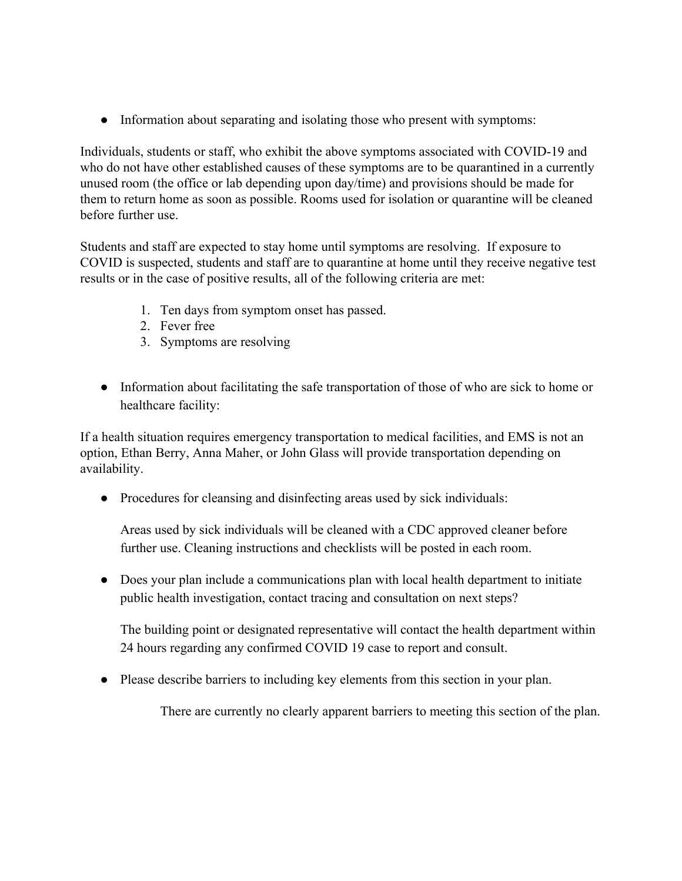• Information about separating and isolating those who present with symptoms:

Individuals, students or staff, who exhibit the above symptoms associated with COVID-19 and who do not have other established causes of these symptoms are to be quarantined in a currently unused room (the office or lab depending upon day/time) and provisions should be made for them to return home as soon as possible. Rooms used for isolation or quarantine will be cleaned before further use.

Students and staff are expected to stay home until symptoms are resolving. If exposure to COVID is suspected, students and staff are to quarantine at home until they receive negative test results or in the case of positive results, all of the following criteria are met:

- 1. Ten days from symptom onset has passed.
- 2. Fever free
- 3. Symptoms are resolving
- Information about facilitating the safe transportation of those of who are sick to home or healthcare facility:

If a health situation requires emergency transportation to medical facilities, and EMS is not an option, Ethan Berry, Anna Maher, or John Glass will provide transportation depending on availability.

• Procedures for cleansing and disinfecting areas used by sick individuals:

Areas used by sick individuals will be cleaned with a CDC approved cleaner before further use. Cleaning instructions and checklists will be posted in each room.

• Does your plan include a communications plan with local health department to initiate public health investigation, contact tracing and consultation on next steps?

The building point or designated representative will contact the health department within 24 hours regarding any confirmed COVID 19 case to report and consult.

● Please describe barriers to including key elements from this section in your plan.

There are currently no clearly apparent barriers to meeting this section of the plan.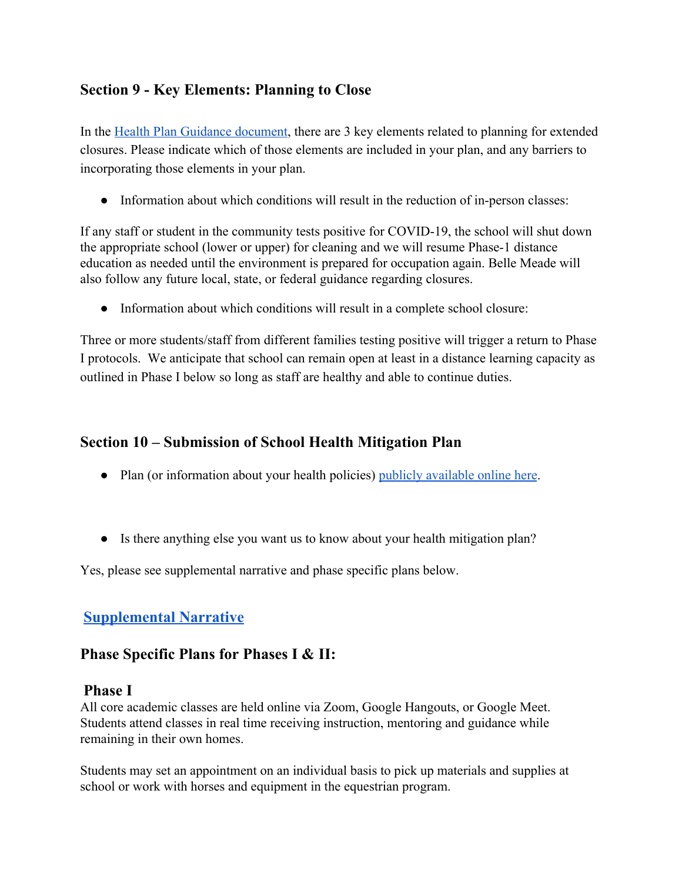## **Section 9 - Key Elements: Planning to Close**

In the [Health Plan Guidance document](https://ln2.sync.com/dl/0fc5b2dc0/q9gxizza-kwu9sfud-9iz6up97-iq6cmsq9), there are 3 key elements related to planning for extended closures. Please indicate which of those elements are included in your plan, and any barriers to incorporating those elements in your plan.

• Information about which conditions will result in the reduction of in-person classes:

If any staff or student in the community tests positive for COVID-19, the school will shut down the appropriate school (lower or upper) for cleaning and we will resume Phase-1 distance education as needed until the environment is prepared for occupation again. Belle Meade will also follow any future local, state, or federal guidance regarding closures.

• Information about which conditions will result in a complete school closure:

Three or more students/staff from different families testing positive will trigger a return to Phase I protocols. We anticipate that school can remain open at least in a distance learning capacity as outlined in Phase I below so long as staff are healthy and able to continue duties.

## **Section 10 – Submission of School Health Mitigation Plan**

- Plan (or information about your health policies) [publicly available online here](https://docs.google.com/document/d/1-6-dWNteGEBfIycBUcTMyRAJX8ZVenzfzYtYi6uQPiQ/edit?usp=sharing).
- Is there anything else you want us to know about your health mitigation plan?

Yes, please see supplemental narrative and phase specific plans below.

## **[Supplemental](https://docs.google.com/document/d/1mkhd9U00vYQ3h4Hi4fvzaV7wdi_6rVdZvjRgppdksZA/edit?usp=sharing) Narrative**

## **Phase Specific Plans for Phases I & II:**

### **Phase I**

All core academic classes are held online via Zoom, Google Hangouts, or Google Meet. Students attend classes in real time receiving instruction, mentoring and guidance while remaining in their own homes.

Students may set an appointment on an individual basis to pick up materials and supplies at school or work with horses and equipment in the equestrian program.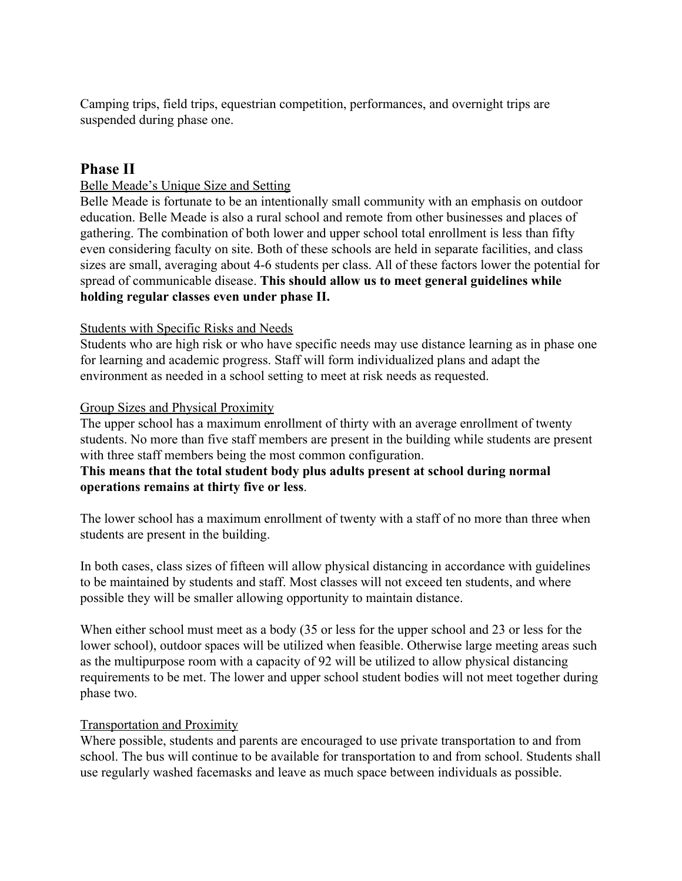Camping trips, field trips, equestrian competition, performances, and overnight trips are suspended during phase one.

### **Phase II**

### Belle Meade's Unique Size and Setting

Belle Meade is fortunate to be an intentionally small community with an emphasis on outdoor education. Belle Meade is also a rural school and remote from other businesses and places of gathering. The combination of both lower and upper school total enrollment is less than fifty even considering faculty on site. Both of these schools are held in separate facilities, and class sizes are small, averaging about 4-6 students per class. All of these factors lower the potential for spread of communicable disease. **This should allow us to meet general guidelines while holding regular classes even under phase II.**

#### Students with Specific Risks and Needs

Students who are high risk or who have specific needs may use distance learning as in phase one for learning and academic progress. Staff will form individualized plans and adapt the environment as needed in a school setting to meet at risk needs as requested.

#### Group Sizes and Physical Proximity

The upper school has a maximum enrollment of thirty with an average enrollment of twenty students. No more than five staff members are present in the building while students are present with three staff members being the most common configuration.

### **This means that the total student body plus adults present at school during normal operations remains at thirty five or less**.

The lower school has a maximum enrollment of twenty with a staff of no more than three when students are present in the building.

In both cases, class sizes of fifteen will allow physical distancing in accordance with guidelines to be maintained by students and staff. Most classes will not exceed ten students, and where possible they will be smaller allowing opportunity to maintain distance.

When either school must meet as a body (35 or less for the upper school and 23 or less for the lower school), outdoor spaces will be utilized when feasible. Otherwise large meeting areas such as the multipurpose room with a capacity of 92 will be utilized to allow physical distancing requirements to be met. The lower and upper school student bodies will not meet together during phase two.

### Transportation and Proximity

Where possible, students and parents are encouraged to use private transportation to and from school. The bus will continue to be available for transportation to and from school. Students shall use regularly washed facemasks and leave as much space between individuals as possible.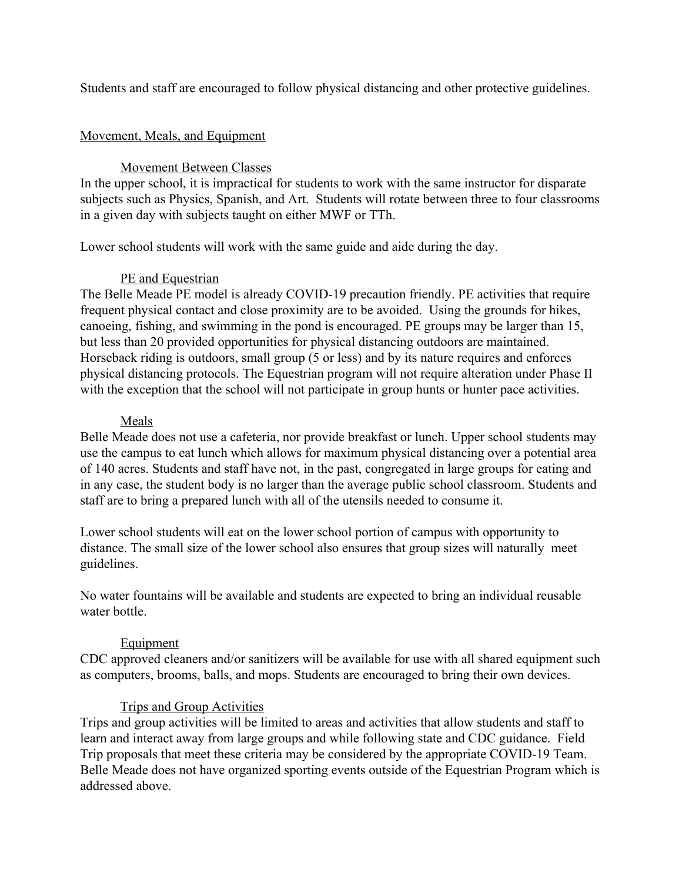Students and staff are encouraged to follow physical distancing and other protective guidelines.

### Movement, Meals, and Equipment

### Movement Between Classes

In the upper school, it is impractical for students to work with the same instructor for disparate subjects such as Physics, Spanish, and Art. Students will rotate between three to four classrooms in a given day with subjects taught on either MWF or TTh.

Lower school students will work with the same guide and aide during the day.

### PE and Equestrian

The Belle Meade PE model is already COVID-19 precaution friendly. PE activities that require frequent physical contact and close proximity are to be avoided. Using the grounds for hikes, canoeing, fishing, and swimming in the pond is encouraged. PE groups may be larger than 15, but less than 20 provided opportunities for physical distancing outdoors are maintained. Horseback riding is outdoors, small group (5 or less) and by its nature requires and enforces physical distancing protocols. The Equestrian program will not require alteration under Phase II with the exception that the school will not participate in group hunts or hunter pace activities.

### Meals

Belle Meade does not use a cafeteria, nor provide breakfast or lunch. Upper school students may use the campus to eat lunch which allows for maximum physical distancing over a potential area of 140 acres. Students and staff have not, in the past, congregated in large groups for eating and in any case, the student body is no larger than the average public school classroom. Students and staff are to bring a prepared lunch with all of the utensils needed to consume it.

Lower school students will eat on the lower school portion of campus with opportunity to distance. The small size of the lower school also ensures that group sizes will naturally meet guidelines.

No water fountains will be available and students are expected to bring an individual reusable water bottle.

#### Equipment

CDC approved cleaners and/or sanitizers will be available for use with all shared equipment such as computers, brooms, balls, and mops. Students are encouraged to bring their own devices.

### Trips and Group Activities

Trips and group activities will be limited to areas and activities that allow students and staff to learn and interact away from large groups and while following state and CDC guidance. Field Trip proposals that meet these criteria may be considered by the appropriate COVID-19 Team. Belle Meade does not have organized sporting events outside of the Equestrian Program which is addressed above.